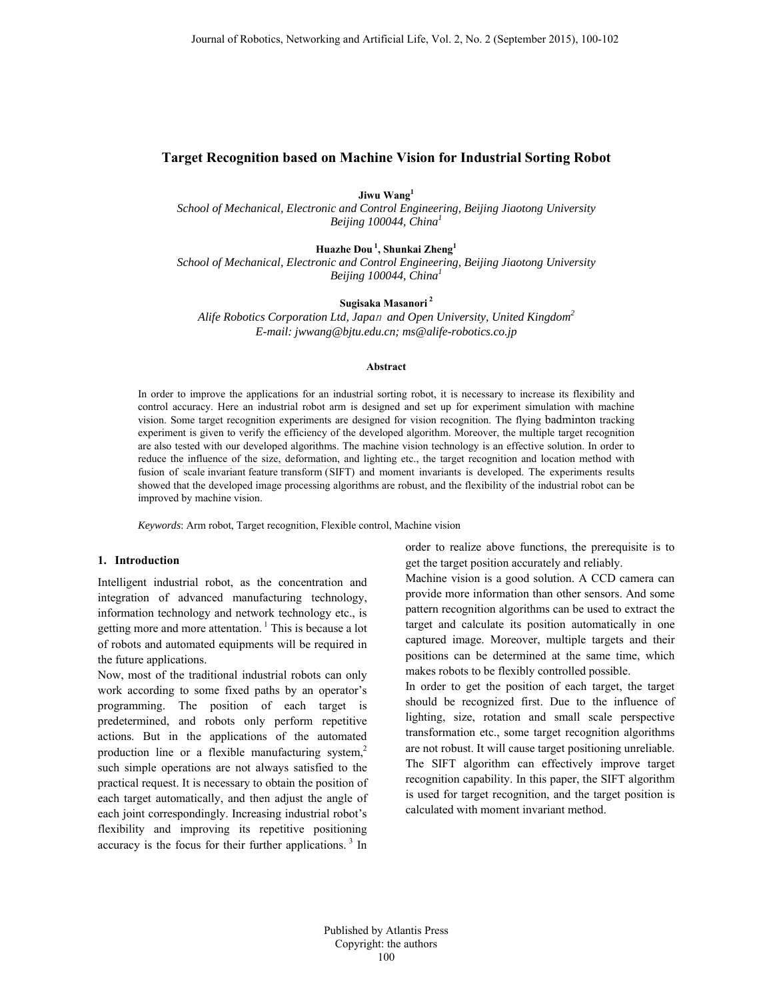# **Target Recognition based on Machine Vision for Industrial Sorting Robot**

**Jiwu Wang1**

*School of Mechanical, Electronic and Control Engineering, Beijing Jiaotong University Beijing 100044, China<sup>1</sup>*

**Huazhe Dou 1, Shunkai Zheng1** *School of Mechanical, Electronic and Control Engineering, Beijing Jiaotong University Beijing 100044, China<sup>1</sup>*

**Sugisaka Masanori 2**

*Alife Robotics Corporation Ltd, Japa*n *and Open University, United Kingdom<sup>2</sup> E-mail: jwwang@bjtu.edu.cn; ms@alife-robotics.co.jp*

## **Abstract**

In order to improve the applications for an industrial sorting robot, it is necessary to increase its flexibility and control accuracy. Here an industrial robot arm is designed and set up for experiment simulation with machine vision. Some target recognition experiments are designed for vision recognition. The flying badminton tracking experiment is given to verify the efficiency of the developed algorithm. Moreover, the multiple target recognition are also tested with our developed algorithms. The machine vision technology is an effective solution. In order to reduce the influence of the size, deformation, and lighting etc., the target recognition and location method with fusion of scale invariant feature transform (SIFT) and moment invariants is developed. The experiments results showed that the developed image processing algorithms are robust, and the flexibility of the industrial robot can be improved by machine vision.

*Keywords*: Arm robot, Target recognition, Flexible control, Machine vision

### **1. Introduction**

Intelligent industrial robot, as the concentration and integration of advanced manufacturing technology, information technology and network technology etc., is getting more and more attentation.<sup>1</sup> This is because a lot of robots and automated equipments will be required in the future applications.

Now, most of the traditional industrial robots can only work according to some fixed paths by an operator's programming. The position of each target is predetermined, and robots only perform repetitive actions. But in the applications of the automated production line or a flexible manufacturing system, $2$ such simple operations are not always satisfied to the practical request. It is necessary to obtain the position of each target automatically, and then adjust the angle of each joint correspondingly. Increasing industrial robot's flexibility and improving its repetitive positioning accuracy is the focus for their further applications.<sup>3</sup> In order to realize above functions, the prerequisite is to get the target position accurately and reliably.

Machine vision is a good solution. A CCD camera can provide more information than other sensors. And some pattern recognition algorithms can be used to extract the target and calculate its position automatically in one captured image. Moreover, multiple targets and their positions can be determined at the same time, which makes robots to be flexibly controlled possible.

In order to get the position of each target, the target should be recognized first. Due to the influence of lighting, size, rotation and small scale perspective transformation etc., some target recognition algorithms are not robust. It will cause target positioning unreliable. The SIFT algorithm can effectively improve target recognition capability. In this paper, the SIFT algorithm is used for target recognition, and the target position is calculated with moment invariant method.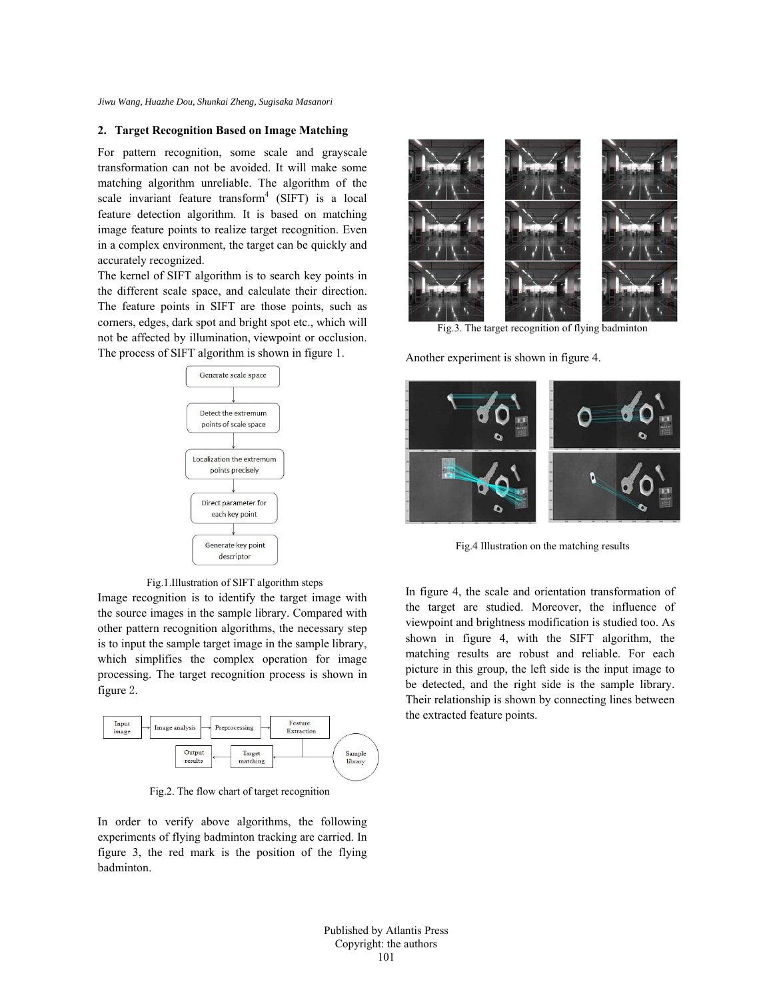# **2. Target Recognition Based on Image Matching**

For pattern recognition, some scale and grayscale transformation can not be avoided. It will make some matching algorithm unreliable. The algorithm of the scale invariant feature transform<sup>4</sup> (SIFT) is a local feature detection algorithm. It is based on matching image feature points to realize target recognition. Even in a complex environment, the target can be quickly and accurately recognized.

The kernel of SIFT algorithm is to search key points in the different scale space, and calculate their direction. The feature points in SIFT are those points, such as corners, edges, dark spot and bright spot etc., which will not be affected by illumination, viewpoint or occlusion. The process of SIFT algorithm is shown in figure 1.



Fig.1.Illustration of SIFT algorithm steps

Image recognition is to identify the target image with the source images in the sample library. Compared with other pattern recognition algorithms, the necessary step is to input the sample target image in the sample library, which simplifies the complex operation for image processing. The target recognition process is shown in figure 2.



Fig.2. The flow chart of target recognition

In order to verify above algorithms, the following experiments of flying badminton tracking are carried. In figure 3, the red mark is the position of the flying badminton.



Fig.3. The target recognition of flying badminton

Another experiment is shown in figure 4.



Fig.4 Illustration on the matching results

In figure 4, the scale and orientation transformation of the target are studied. Moreover, the influence of viewpoint and brightness modification is studied too. As shown in figure 4, with the SIFT algorithm, the matching results are robust and reliable. For each picture in this group, the left side is the input image to be detected, and the right side is the sample library. Their relationship is shown by connecting lines between the extracted feature points.